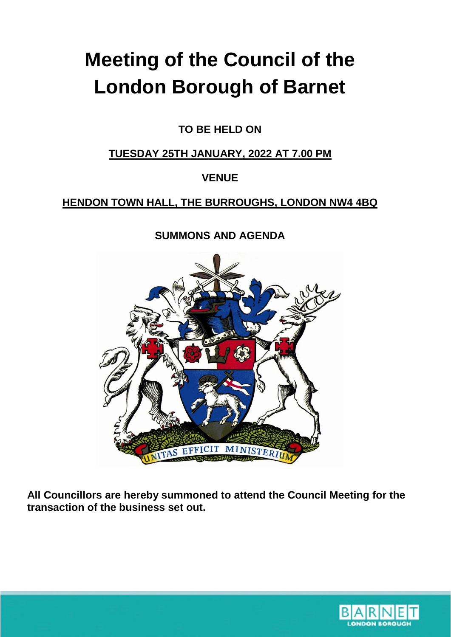# **Meeting of the Council of the London Borough of Barnet**

**TO BE HELD ON**

#### **TUESDAY 25TH JANUARY, 2022 AT 7.00 PM**

## **VENUE**

## **HENDON TOWN HALL, THE BURROUGHS, LONDON NW4 4BQ**

## **SUMMONS AND AGENDA**



**All Councillors are hereby summoned to attend the Council Meeting for the transaction of the business set out.**

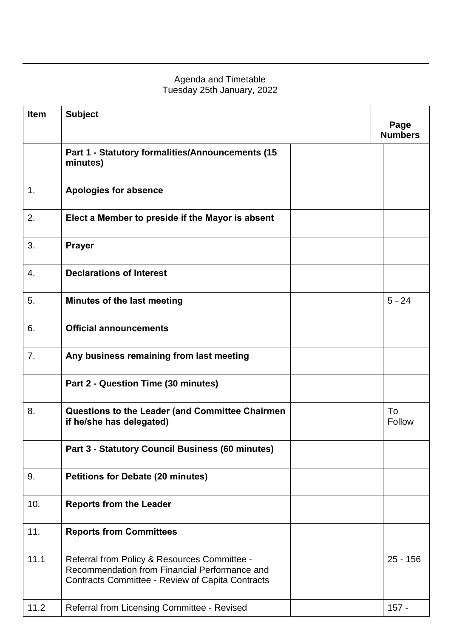#### Agenda and Timetable Tuesday 25th January, 2022

| <b>Item</b> | <b>Subject</b>                                                                                                                                           |  | Page<br><b>Numbers</b> |  |
|-------------|----------------------------------------------------------------------------------------------------------------------------------------------------------|--|------------------------|--|
|             | Part 1 - Statutory formalities/Announcements (15<br>minutes)                                                                                             |  |                        |  |
| 1.          | <b>Apologies for absence</b>                                                                                                                             |  |                        |  |
| 2.          | Elect a Member to preside if the Mayor is absent                                                                                                         |  |                        |  |
| 3.          | <b>Prayer</b>                                                                                                                                            |  |                        |  |
| 4.          | <b>Declarations of Interest</b>                                                                                                                          |  |                        |  |
| 5.          | Minutes of the last meeting                                                                                                                              |  | $5 - 24$               |  |
| 6.          | <b>Official announcements</b>                                                                                                                            |  |                        |  |
| 7.          | Any business remaining from last meeting                                                                                                                 |  |                        |  |
|             | Part 2 - Question Time (30 minutes)                                                                                                                      |  |                        |  |
| 8.          | <b>Questions to the Leader (and Committee Chairmen</b><br>if he/she has delegated)                                                                       |  | To<br>Follow           |  |
|             | Part 3 - Statutory Council Business (60 minutes)                                                                                                         |  |                        |  |
| 9.          | <b>Petitions for Debate (20 minutes)</b>                                                                                                                 |  |                        |  |
| 10.         | <b>Reports from the Leader</b>                                                                                                                           |  |                        |  |
| 11.         | <b>Reports from Committees</b>                                                                                                                           |  |                        |  |
| 11.1        | Referral from Policy & Resources Committee -<br>Recommendation from Financial Performance and<br><b>Contracts Committee - Review of Capita Contracts</b> |  | $25 - 156$             |  |
| 11.2        | Referral from Licensing Committee - Revised                                                                                                              |  | $157 -$                |  |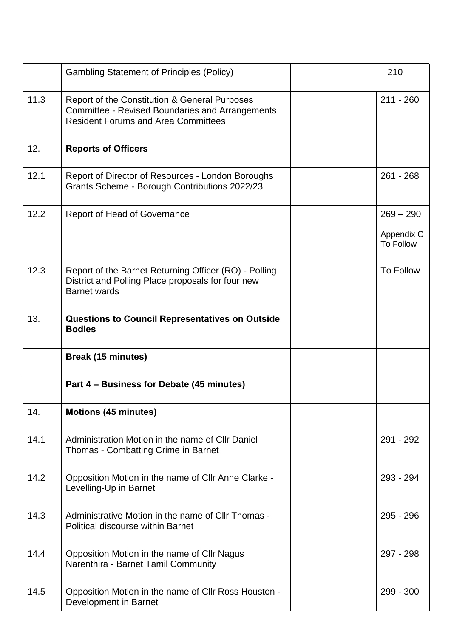|      | <b>Gambling Statement of Principles (Policy)</b>                                                                                                      | 210                                           |
|------|-------------------------------------------------------------------------------------------------------------------------------------------------------|-----------------------------------------------|
| 11.3 | Report of the Constitution & General Purposes<br><b>Committee - Revised Boundaries and Arrangements</b><br><b>Resident Forums and Area Committees</b> | $211 - 260$                                   |
| 12.  | <b>Reports of Officers</b>                                                                                                                            |                                               |
| 12.1 | Report of Director of Resources - London Boroughs<br>Grants Scheme - Borough Contributions 2022/23                                                    | $261 - 268$                                   |
| 12.2 | <b>Report of Head of Governance</b>                                                                                                                   | $269 - 290$<br>Appendix C<br><b>To Follow</b> |
| 12.3 | Report of the Barnet Returning Officer (RO) - Polling<br>District and Polling Place proposals for four new<br><b>Barnet wards</b>                     | To Follow                                     |
| 13.  | <b>Questions to Council Representatives on Outside</b><br><b>Bodies</b>                                                                               |                                               |
|      | <b>Break (15 minutes)</b>                                                                                                                             |                                               |
|      | Part 4 – Business for Debate (45 minutes)                                                                                                             |                                               |
| 14.  | <b>Motions (45 minutes)</b>                                                                                                                           |                                               |
| 14.1 | Administration Motion in the name of CIIr Daniel<br>Thomas - Combatting Crime in Barnet                                                               | 291 - 292                                     |
| 14.2 | Opposition Motion in the name of CIIr Anne Clarke -<br>Levelling-Up in Barnet                                                                         | 293 - 294                                     |
| 14.3 | Administrative Motion in the name of CIIr Thomas -<br><b>Political discourse within Barnet</b>                                                        | $295 - 296$                                   |
| 14.4 | Opposition Motion in the name of Cllr Nagus<br>Narenthira - Barnet Tamil Community                                                                    | 297 - 298                                     |
| 14.5 | Opposition Motion in the name of CIIr Ross Houston -<br>Development in Barnet                                                                         | $299 - 300$                                   |